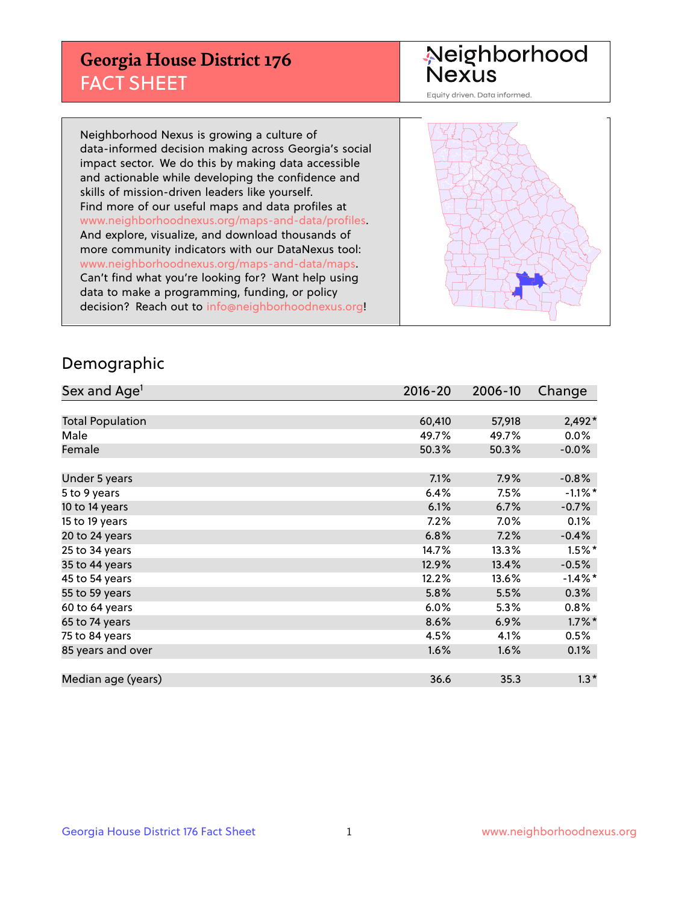## **Georgia House District 176** FACT SHEET

# Neighborhood<br>Nexus

Equity driven. Data informed.

Neighborhood Nexus is growing a culture of data-informed decision making across Georgia's social impact sector. We do this by making data accessible and actionable while developing the confidence and skills of mission-driven leaders like yourself. Find more of our useful maps and data profiles at www.neighborhoodnexus.org/maps-and-data/profiles. And explore, visualize, and download thousands of more community indicators with our DataNexus tool: www.neighborhoodnexus.org/maps-and-data/maps. Can't find what you're looking for? Want help using data to make a programming, funding, or policy decision? Reach out to [info@neighborhoodnexus.org!](mailto:info@neighborhoodnexus.org)



### Demographic

| Sex and Age <sup>1</sup> | $2016 - 20$ | 2006-10  | Change               |
|--------------------------|-------------|----------|----------------------|
|                          |             |          |                      |
| <b>Total Population</b>  | 60,410      | 57,918   | $2,492*$             |
| Male                     | 49.7%       | 49.7%    | $0.0\%$              |
| Female                   | 50.3%       | 50.3%    | $-0.0\%$             |
|                          |             |          |                      |
| Under 5 years            | 7.1%        | 7.9%     | $-0.8%$              |
| 5 to 9 years             | 6.4%        | 7.5%     | $-1.1\%$ *           |
| 10 to 14 years           | 6.1%        | 6.7%     | $-0.7%$              |
| 15 to 19 years           | 7.2%        | $7.0\%$  | 0.1%                 |
| 20 to 24 years           | 6.8%        | 7.2%     | $-0.4%$              |
| 25 to 34 years           | 14.7%       | $13.3\%$ | $1.5\%$ <sup>*</sup> |
| 35 to 44 years           | 12.9%       | 13.4%    | $-0.5%$              |
| 45 to 54 years           | 12.2%       | 13.6%    | $-1.4\%$ *           |
| 55 to 59 years           | 5.8%        | 5.5%     | 0.3%                 |
| 60 to 64 years           | 6.0%        | 5.3%     | 0.8%                 |
| 65 to 74 years           | 8.6%        | 6.9%     | $1.7\%$ *            |
| 75 to 84 years           | 4.5%        | 4.1%     | 0.5%                 |
| 85 years and over        | 1.6%        | 1.6%     | 0.1%                 |
|                          |             |          |                      |
| Median age (years)       | 36.6        | 35.3     | $1.3*$               |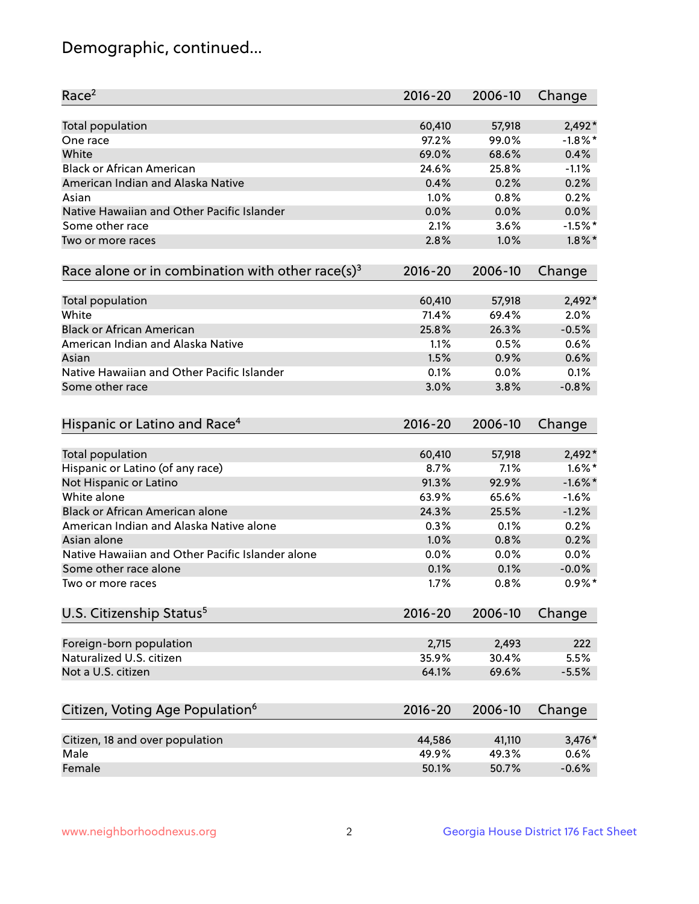## Demographic, continued...

| Race <sup>2</sup>                                            | $2016 - 20$ | 2006-10 | Change     |
|--------------------------------------------------------------|-------------|---------|------------|
| <b>Total population</b>                                      | 60,410      | 57,918  | $2,492*$   |
| One race                                                     | 97.2%       | 99.0%   | $-1.8\%$ * |
| White                                                        | 69.0%       | 68.6%   | 0.4%       |
| <b>Black or African American</b>                             | 24.6%       | 25.8%   | $-1.1%$    |
| American Indian and Alaska Native                            | 0.4%        | 0.2%    | 0.2%       |
| Asian                                                        | 1.0%        | 0.8%    | 0.2%       |
| Native Hawaiian and Other Pacific Islander                   | 0.0%        | 0.0%    | 0.0%       |
| Some other race                                              | 2.1%        | 3.6%    | $-1.5%$ *  |
| Two or more races                                            | 2.8%        | 1.0%    | $1.8\%$ *  |
| Race alone or in combination with other race(s) <sup>3</sup> | $2016 - 20$ | 2006-10 | Change     |
| Total population                                             | 60,410      | 57,918  | $2,492*$   |
| White                                                        | 71.4%       | 69.4%   | 2.0%       |
| <b>Black or African American</b>                             | 25.8%       | 26.3%   | $-0.5%$    |
| American Indian and Alaska Native                            | 1.1%        | 0.5%    | 0.6%       |
| Asian                                                        | 1.5%        | 0.9%    | 0.6%       |
| Native Hawaiian and Other Pacific Islander                   | 0.1%        | 0.0%    | 0.1%       |
| Some other race                                              | 3.0%        | 3.8%    | $-0.8%$    |
| Hispanic or Latino and Race <sup>4</sup>                     | $2016 - 20$ | 2006-10 | Change     |
| <b>Total population</b>                                      | 60,410      | 57,918  | 2,492*     |
| Hispanic or Latino (of any race)                             | 8.7%        | 7.1%    | $1.6\%$ *  |
| Not Hispanic or Latino                                       | 91.3%       | 92.9%   | $-1.6\%$ * |
| White alone                                                  | 63.9%       | 65.6%   | $-1.6%$    |
| <b>Black or African American alone</b>                       | 24.3%       | 25.5%   | $-1.2%$    |
| American Indian and Alaska Native alone                      | 0.3%        | 0.1%    | 0.2%       |
| Asian alone                                                  | 1.0%        | 0.8%    | 0.2%       |
| Native Hawaiian and Other Pacific Islander alone             | 0.0%        | 0.0%    | 0.0%       |
| Some other race alone                                        | 0.1%        | 0.1%    | $-0.0%$    |
| Two or more races                                            | 1.7%        | 0.8%    | $0.9\%$ *  |
| U.S. Citizenship Status <sup>5</sup>                         | $2016 - 20$ | 2006-10 | Change     |
| Foreign-born population                                      | 2,715       | 2,493   | 222        |
| Naturalized U.S. citizen                                     | 35.9%       | 30.4%   | 5.5%       |
| Not a U.S. citizen                                           | 64.1%       | 69.6%   | $-5.5%$    |
|                                                              |             |         |            |
| Citizen, Voting Age Population <sup>6</sup>                  | $2016 - 20$ | 2006-10 | Change     |
| Citizen, 18 and over population                              | 44,586      | 41,110  | 3,476*     |
| Male                                                         | 49.9%       | 49.3%   | 0.6%       |
| Female                                                       | 50.1%       | 50.7%   | $-0.6%$    |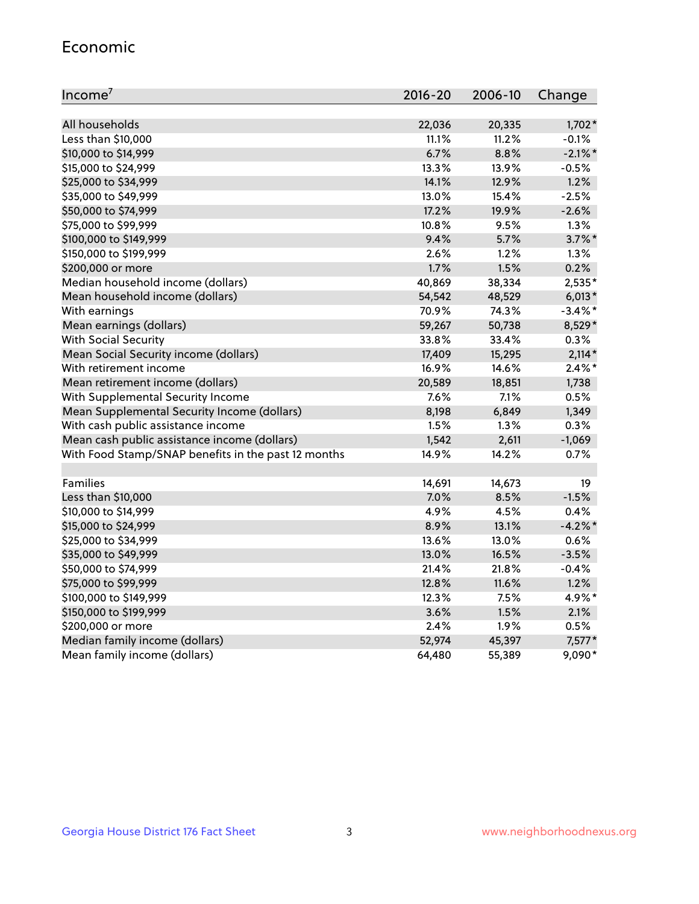#### Economic

| Income <sup>7</sup>                                 | $2016 - 20$ | 2006-10 | Change     |
|-----------------------------------------------------|-------------|---------|------------|
|                                                     |             |         |            |
| All households                                      | 22,036      | 20,335  | $1,702*$   |
| Less than \$10,000                                  | 11.1%       | 11.2%   | $-0.1%$    |
| \$10,000 to \$14,999                                | 6.7%        | 8.8%    | $-2.1\%$ * |
| \$15,000 to \$24,999                                | 13.3%       | 13.9%   | $-0.5%$    |
| \$25,000 to \$34,999                                | 14.1%       | 12.9%   | 1.2%       |
| \$35,000 to \$49,999                                | 13.0%       | 15.4%   | $-2.5%$    |
| \$50,000 to \$74,999                                | 17.2%       | 19.9%   | $-2.6%$    |
| \$75,000 to \$99,999                                | 10.8%       | 9.5%    | 1.3%       |
| \$100,000 to \$149,999                              | 9.4%        | 5.7%    | $3.7\%$ *  |
| \$150,000 to \$199,999                              | 2.6%        | 1.2%    | 1.3%       |
| \$200,000 or more                                   | 1.7%        | 1.5%    | 0.2%       |
| Median household income (dollars)                   | 40,869      | 38,334  | 2,535*     |
| Mean household income (dollars)                     | 54,542      | 48,529  | $6,013*$   |
| With earnings                                       | 70.9%       | 74.3%   | $-3.4\%$ * |
| Mean earnings (dollars)                             | 59,267      | 50,738  | 8,529*     |
| <b>With Social Security</b>                         | 33.8%       | 33.4%   | 0.3%       |
| Mean Social Security income (dollars)               | 17,409      | 15,295  | $2,114*$   |
| With retirement income                              | 16.9%       | 14.6%   | $2.4\%$ *  |
| Mean retirement income (dollars)                    | 20,589      | 18,851  | 1,738      |
| With Supplemental Security Income                   | 7.6%        | 7.1%    | 0.5%       |
| Mean Supplemental Security Income (dollars)         | 8,198       | 6,849   | 1,349      |
| With cash public assistance income                  | 1.5%        | 1.3%    | 0.3%       |
| Mean cash public assistance income (dollars)        | 1,542       | 2,611   | $-1,069$   |
| With Food Stamp/SNAP benefits in the past 12 months | 14.9%       | 14.2%   | 0.7%       |
|                                                     |             |         |            |
| Families                                            | 14,691      | 14,673  | 19         |
| Less than \$10,000                                  | 7.0%        | 8.5%    | $-1.5%$    |
| \$10,000 to \$14,999                                | 4.9%        | 4.5%    | 0.4%       |
| \$15,000 to \$24,999                                | 8.9%        | 13.1%   | $-4.2%$    |
| \$25,000 to \$34,999                                | 13.6%       | 13.0%   | 0.6%       |
| \$35,000 to \$49,999                                | 13.0%       | 16.5%   | $-3.5%$    |
| \$50,000 to \$74,999                                | 21.4%       | 21.8%   | $-0.4%$    |
| \$75,000 to \$99,999                                | 12.8%       | 11.6%   | 1.2%       |
| \$100,000 to \$149,999                              | 12.3%       | 7.5%    | 4.9%*      |
| \$150,000 to \$199,999                              | 3.6%        | 1.5%    | 2.1%       |
| \$200,000 or more                                   | 2.4%        | 1.9%    | 0.5%       |
| Median family income (dollars)                      | 52,974      | 45,397  | $7,577*$   |
| Mean family income (dollars)                        | 64,480      | 55,389  | 9,090*     |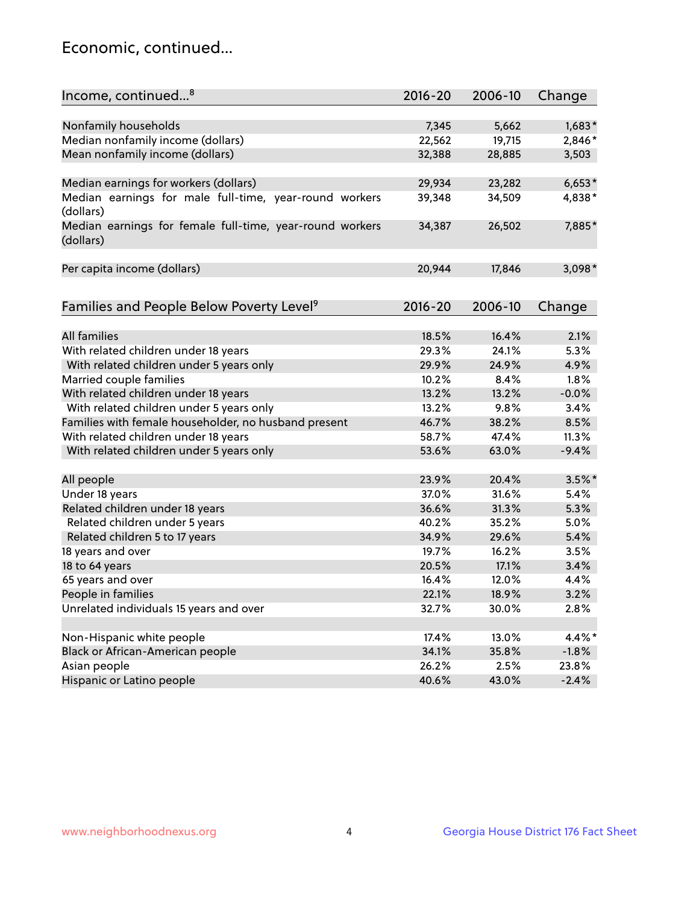## Economic, continued...

| Income, continued <sup>8</sup>                                        | $2016 - 20$ | 2006-10 | Change   |
|-----------------------------------------------------------------------|-------------|---------|----------|
|                                                                       |             |         |          |
| Nonfamily households                                                  | 7,345       | 5,662   | $1,683*$ |
| Median nonfamily income (dollars)                                     | 22,562      | 19,715  | 2,846*   |
| Mean nonfamily income (dollars)                                       | 32,388      | 28,885  | 3,503    |
| Median earnings for workers (dollars)                                 | 29,934      | 23,282  | $6,653*$ |
| Median earnings for male full-time, year-round workers                | 39,348      | 34,509  | 4,838*   |
| (dollars)                                                             |             |         |          |
| Median earnings for female full-time, year-round workers<br>(dollars) | 34,387      | 26,502  | 7,885*   |
| Per capita income (dollars)                                           | 20,944      | 17,846  | $3,098*$ |
|                                                                       |             |         |          |
| Families and People Below Poverty Level <sup>9</sup>                  | 2016-20     | 2006-10 | Change   |
|                                                                       |             |         |          |
| <b>All families</b>                                                   | 18.5%       | 16.4%   | 2.1%     |
| With related children under 18 years                                  | 29.3%       | 24.1%   | 5.3%     |
| With related children under 5 years only                              | 29.9%       | 24.9%   | 4.9%     |
| Married couple families                                               | 10.2%       | 8.4%    | 1.8%     |
| With related children under 18 years                                  | 13.2%       | 13.2%   | $-0.0%$  |
| With related children under 5 years only                              | 13.2%       | 9.8%    | 3.4%     |
| Families with female householder, no husband present                  | 46.7%       | 38.2%   | 8.5%     |
| With related children under 18 years                                  | 58.7%       | 47.4%   | 11.3%    |
| With related children under 5 years only                              | 53.6%       | 63.0%   | $-9.4%$  |
| All people                                                            | 23.9%       | 20.4%   | $3.5%$ * |
| Under 18 years                                                        | 37.0%       | 31.6%   | 5.4%     |
| Related children under 18 years                                       | 36.6%       | 31.3%   | 5.3%     |
|                                                                       | 40.2%       | 35.2%   | 5.0%     |
| Related children under 5 years                                        |             |         |          |
| Related children 5 to 17 years                                        | 34.9%       | 29.6%   | 5.4%     |
| 18 years and over                                                     | 19.7%       | 16.2%   | 3.5%     |
| 18 to 64 years                                                        | 20.5%       | 17.1%   | 3.4%     |
| 65 years and over                                                     | 16.4%       | 12.0%   | 4.4%     |
| People in families                                                    | 22.1%       | 18.9%   | 3.2%     |
| Unrelated individuals 15 years and over                               | 32.7%       | 30.0%   | 2.8%     |
|                                                                       |             |         |          |
| Non-Hispanic white people                                             | 17.4%       | 13.0%   | 4.4%*    |
| Black or African-American people                                      | 34.1%       | 35.8%   | $-1.8%$  |
| Asian people                                                          | 26.2%       | 2.5%    | 23.8%    |
| Hispanic or Latino people                                             | 40.6%       | 43.0%   | $-2.4%$  |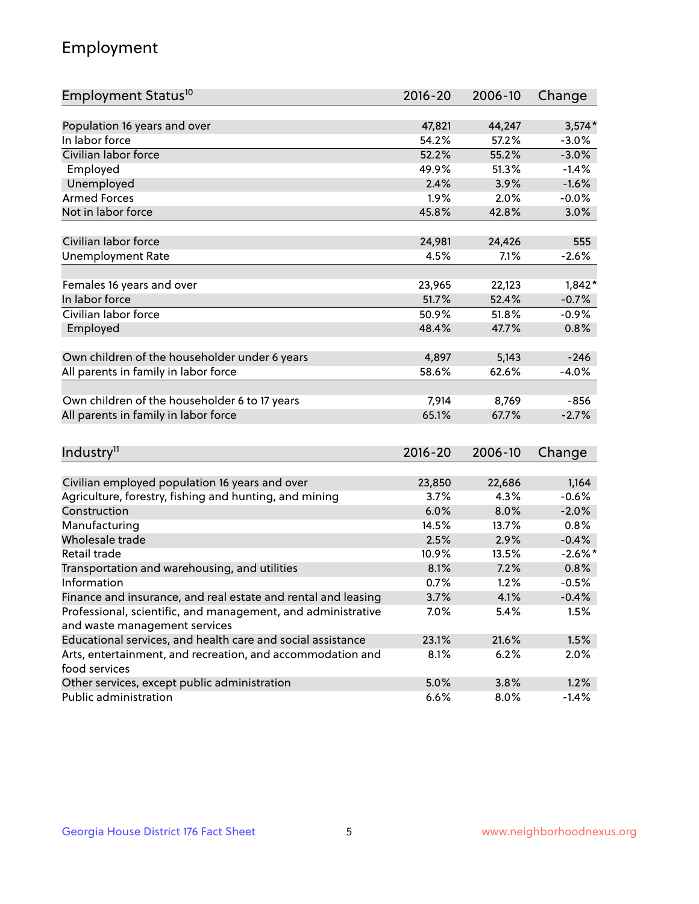## Employment

| Employment Status <sup>10</sup>                               | $2016 - 20$ | 2006-10 | Change     |
|---------------------------------------------------------------|-------------|---------|------------|
|                                                               |             |         |            |
| Population 16 years and over                                  | 47,821      | 44,247  | $3,574*$   |
| In labor force                                                | 54.2%       | 57.2%   | $-3.0%$    |
| Civilian labor force                                          | 52.2%       | 55.2%   | $-3.0%$    |
| Employed                                                      | 49.9%       | 51.3%   | $-1.4%$    |
| Unemployed                                                    | 2.4%        | 3.9%    | $-1.6%$    |
| <b>Armed Forces</b>                                           | 1.9%        | 2.0%    | $-0.0%$    |
| Not in labor force                                            | 45.8%       | 42.8%   | 3.0%       |
|                                                               |             |         |            |
| Civilian labor force                                          | 24,981      | 24,426  | 555        |
| <b>Unemployment Rate</b>                                      | 4.5%        | 7.1%    | $-2.6%$    |
| Females 16 years and over                                     | 23,965      | 22,123  | $1,842*$   |
| In labor force                                                | 51.7%       | 52.4%   | $-0.7%$    |
| Civilian labor force                                          | 50.9%       | 51.8%   | $-0.9%$    |
| Employed                                                      | 48.4%       | 47.7%   | 0.8%       |
|                                                               |             |         |            |
| Own children of the householder under 6 years                 | 4,897       | 5,143   | $-246$     |
| All parents in family in labor force                          | 58.6%       | 62.6%   | $-4.0%$    |
|                                                               |             |         |            |
| Own children of the householder 6 to 17 years                 | 7,914       | 8,769   | $-856$     |
| All parents in family in labor force                          | 65.1%       | 67.7%   | $-2.7%$    |
|                                                               |             |         |            |
| Industry <sup>11</sup>                                        | $2016 - 20$ | 2006-10 | Change     |
|                                                               |             |         |            |
| Civilian employed population 16 years and over                | 23,850      | 22,686  | 1,164      |
| Agriculture, forestry, fishing and hunting, and mining        | 3.7%        | 4.3%    | $-0.6%$    |
| Construction                                                  | 6.0%        | 8.0%    | $-2.0%$    |
| Manufacturing                                                 | 14.5%       | 13.7%   | 0.8%       |
| Wholesale trade                                               | 2.5%        | 2.9%    | $-0.4%$    |
| Retail trade                                                  | 10.9%       | 13.5%   | $-2.6\%$ * |
| Transportation and warehousing, and utilities                 | 8.1%        | 7.2%    | 0.8%       |
| Information                                                   | 0.7%        | 1.2%    | $-0.5%$    |
| Finance and insurance, and real estate and rental and leasing | 3.7%        | 4.1%    | $-0.4%$    |
| Professional, scientific, and management, and administrative  | 7.0%        | 5.4%    | 1.5%       |
| and waste management services                                 |             |         |            |
| Educational services, and health care and social assistance   | 23.1%       | 21.6%   | 1.5%       |
| Arts, entertainment, and recreation, and accommodation and    | 8.1%        | 6.2%    | 2.0%       |
| food services                                                 |             |         |            |
| Other services, except public administration                  | 5.0%        | 3.8%    | 1.2%       |
| Public administration                                         | 6.6%        | 8.0%    | $-1.4%$    |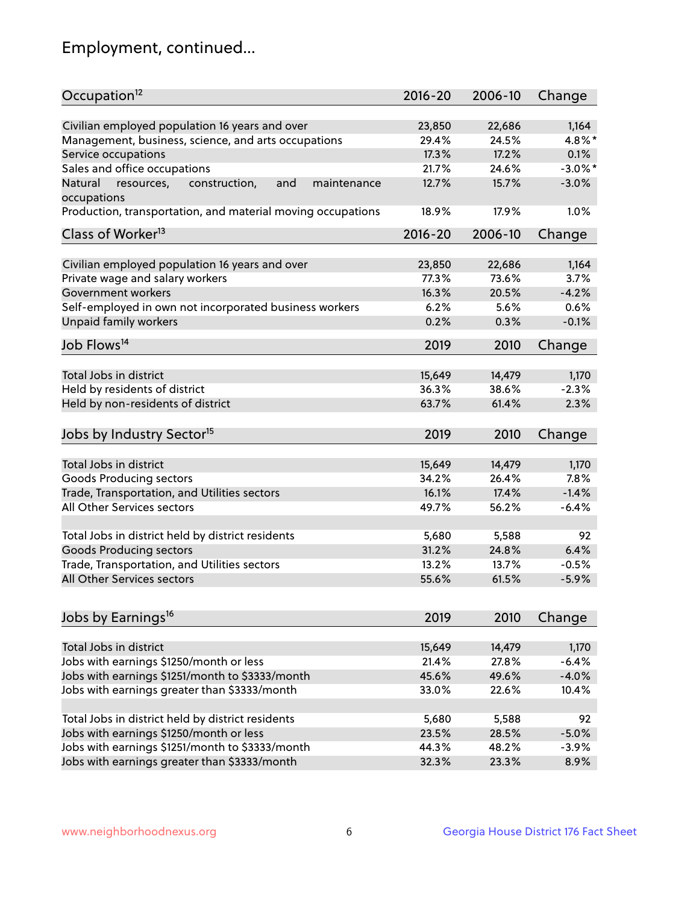## Employment, continued...

| Occupation <sup>12</sup>                                                    | $2016 - 20$ | 2006-10 | Change     |
|-----------------------------------------------------------------------------|-------------|---------|------------|
| Civilian employed population 16 years and over                              | 23,850      | 22,686  | 1,164      |
| Management, business, science, and arts occupations                         | 29.4%       | 24.5%   | 4.8%*      |
| Service occupations                                                         | 17.3%       | 17.2%   | 0.1%       |
| Sales and office occupations                                                | 21.7%       | 24.6%   | $-3.0\%$ * |
|                                                                             |             |         |            |
| Natural<br>and<br>maintenance<br>resources,<br>construction,<br>occupations | 12.7%       | 15.7%   | $-3.0%$    |
| Production, transportation, and material moving occupations                 | 18.9%       | 17.9%   | 1.0%       |
| Class of Worker <sup>13</sup>                                               | $2016 - 20$ | 2006-10 | Change     |
|                                                                             |             |         |            |
| Civilian employed population 16 years and over                              | 23,850      | 22,686  | 1,164      |
| Private wage and salary workers                                             | 77.3%       | 73.6%   | 3.7%       |
| Government workers                                                          | 16.3%       | 20.5%   | $-4.2%$    |
| Self-employed in own not incorporated business workers                      | 6.2%        | 5.6%    | 0.6%       |
| Unpaid family workers                                                       | 0.2%        | 0.3%    | $-0.1%$    |
| Job Flows <sup>14</sup>                                                     | 2019        | 2010    | Change     |
|                                                                             |             |         |            |
| Total Jobs in district                                                      | 15,649      | 14,479  | 1,170      |
| Held by residents of district                                               | 36.3%       | 38.6%   | $-2.3%$    |
| Held by non-residents of district                                           | 63.7%       | 61.4%   | 2.3%       |
| Jobs by Industry Sector <sup>15</sup>                                       | 2019        | 2010    | Change     |
|                                                                             |             |         |            |
| Total Jobs in district                                                      | 15,649      | 14,479  | 1,170      |
| Goods Producing sectors                                                     | 34.2%       | 26.4%   | 7.8%       |
| Trade, Transportation, and Utilities sectors                                | 16.1%       | 17.4%   | $-1.4%$    |
| All Other Services sectors                                                  | 49.7%       | 56.2%   | $-6.4%$    |
| Total Jobs in district held by district residents                           | 5,680       | 5,588   | 92         |
| <b>Goods Producing sectors</b>                                              | 31.2%       | 24.8%   | 6.4%       |
| Trade, Transportation, and Utilities sectors                                | 13.2%       | 13.7%   | $-0.5%$    |
| All Other Services sectors                                                  | 55.6%       | 61.5%   | $-5.9%$    |
|                                                                             |             |         |            |
| Jobs by Earnings <sup>16</sup>                                              | 2019        | 2010    | Change     |
|                                                                             |             |         |            |
| Total Jobs in district                                                      | 15,649      | 14,479  | 1,170      |
| Jobs with earnings \$1250/month or less                                     | 21.4%       | 27.8%   | $-6.4%$    |
| Jobs with earnings \$1251/month to \$3333/month                             | 45.6%       | 49.6%   | $-4.0%$    |
| Jobs with earnings greater than \$3333/month                                | 33.0%       | 22.6%   | 10.4%      |
| Total Jobs in district held by district residents                           | 5,680       | 5,588   | 92         |
| Jobs with earnings \$1250/month or less                                     | 23.5%       | 28.5%   | $-5.0%$    |
| Jobs with earnings \$1251/month to \$3333/month                             | 44.3%       | 48.2%   | $-3.9%$    |
| Jobs with earnings greater than \$3333/month                                | 32.3%       | 23.3%   | 8.9%       |
|                                                                             |             |         |            |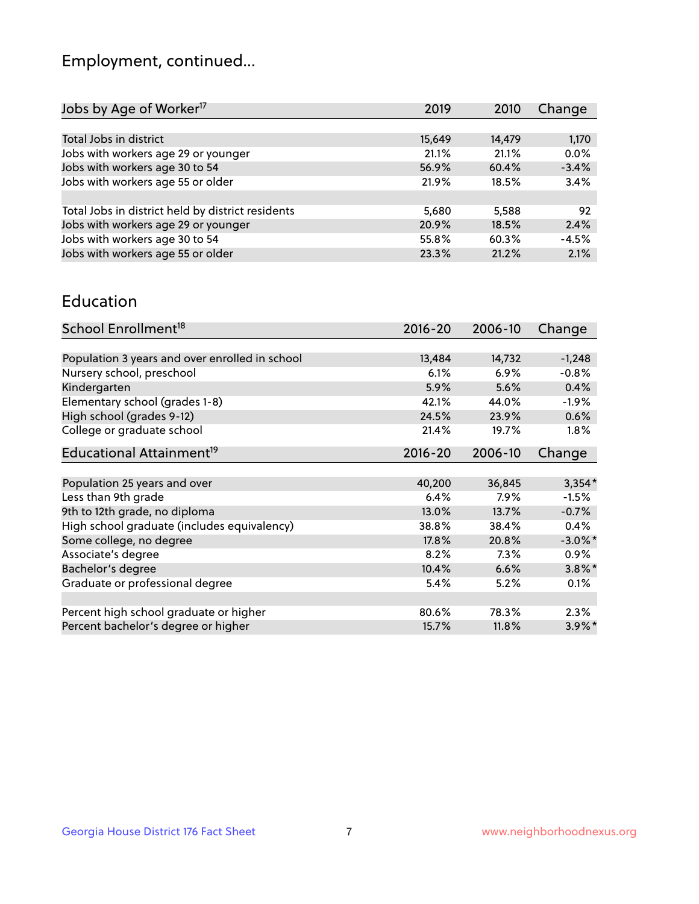## Employment, continued...

| Jobs by Age of Worker <sup>17</sup>               | 2019   | 2010   | Change  |
|---------------------------------------------------|--------|--------|---------|
|                                                   |        |        |         |
| Total Jobs in district                            | 15,649 | 14,479 | 1,170   |
| Jobs with workers age 29 or younger               | 21.1%  | 21.1%  | 0.0%    |
| Jobs with workers age 30 to 54                    | 56.9%  | 60.4%  | $-3.4%$ |
| Jobs with workers age 55 or older                 | 21.9%  | 18.5%  | 3.4%    |
|                                                   |        |        |         |
| Total Jobs in district held by district residents | 5,680  | 5,588  | 92      |
| Jobs with workers age 29 or younger               | 20.9%  | 18.5%  | 2.4%    |
| Jobs with workers age 30 to 54                    | 55.8%  | 60.3%  | $-4.5%$ |
| Jobs with workers age 55 or older                 | 23.3%  | 21.2%  | 2.1%    |
|                                                   |        |        |         |

#### Education

| School Enrollment <sup>18</sup>                | $2016 - 20$ | 2006-10 | Change     |
|------------------------------------------------|-------------|---------|------------|
|                                                |             |         |            |
| Population 3 years and over enrolled in school | 13,484      | 14,732  | $-1,248$   |
| Nursery school, preschool                      | 6.1%        | 6.9%    | $-0.8%$    |
| Kindergarten                                   | 5.9%        | 5.6%    | 0.4%       |
| Elementary school (grades 1-8)                 | 42.1%       | 44.0%   | $-1.9\%$   |
| High school (grades 9-12)                      | 24.5%       | 23.9%   | 0.6%       |
| College or graduate school                     | 21.4%       | 19.7%   | $1.8\%$    |
| Educational Attainment <sup>19</sup>           | $2016 - 20$ | 2006-10 | Change     |
|                                                |             |         |            |
| Population 25 years and over                   | 40,200      | 36,845  | $3,354*$   |
| Less than 9th grade                            | 6.4%        | $7.9\%$ | $-1.5%$    |
| 9th to 12th grade, no diploma                  | 13.0%       | 13.7%   | $-0.7%$    |
| High school graduate (includes equivalency)    | 38.8%       | 38.4%   | 0.4%       |
| Some college, no degree                        | 17.8%       | 20.8%   | $-3.0\%$ * |
| Associate's degree                             | 8.2%        | 7.3%    | 0.9%       |
| Bachelor's degree                              | 10.4%       | 6.6%    | $3.8\%$ *  |
| Graduate or professional degree                | 5.4%        | 5.2%    | 0.1%       |
|                                                |             |         |            |
| Percent high school graduate or higher         | 80.6%       | 78.3%   | 2.3%       |
| Percent bachelor's degree or higher            | 15.7%       | 11.8%   | $3.9\%$ *  |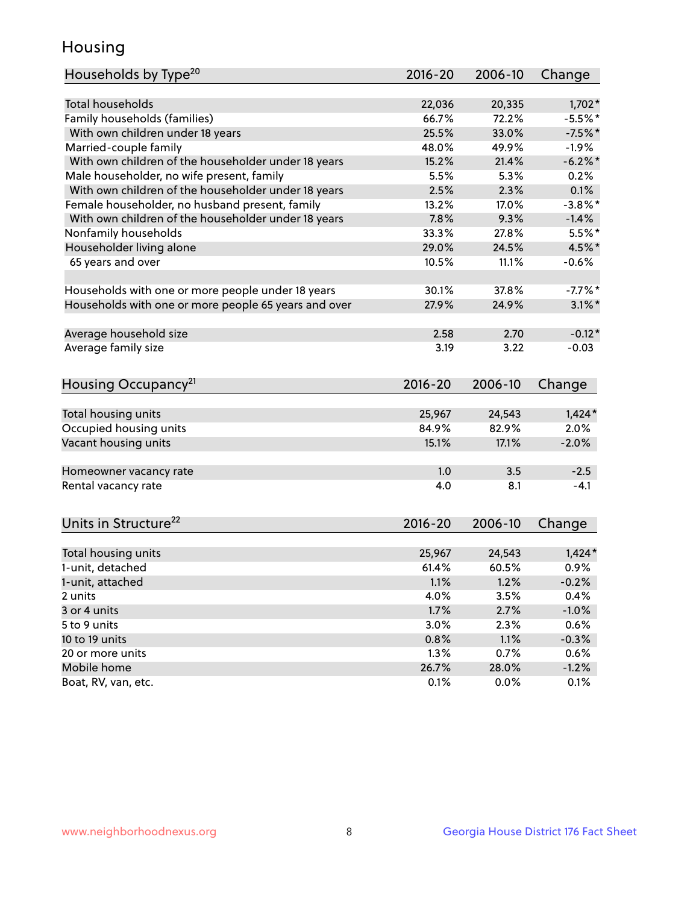## Housing

| Households by Type <sup>20</sup>                     | 2016-20 | 2006-10 | Change     |
|------------------------------------------------------|---------|---------|------------|
|                                                      |         |         |            |
| Total households                                     | 22,036  | 20,335  | $1,702*$   |
| Family households (families)                         | 66.7%   | 72.2%   | $-5.5%$ *  |
| With own children under 18 years                     | 25.5%   | 33.0%   | $-7.5%$ *  |
| Married-couple family                                | 48.0%   | 49.9%   | $-1.9%$    |
| With own children of the householder under 18 years  | 15.2%   | 21.4%   | $-6.2%$    |
| Male householder, no wife present, family            | 5.5%    | 5.3%    | 0.2%       |
| With own children of the householder under 18 years  | 2.5%    | 2.3%    | 0.1%       |
| Female householder, no husband present, family       | 13.2%   | 17.0%   | $-3.8\%$ * |
| With own children of the householder under 18 years  | 7.8%    | 9.3%    | $-1.4%$    |
| Nonfamily households                                 | 33.3%   | 27.8%   | $5.5%$ *   |
| Householder living alone                             | 29.0%   | 24.5%   | 4.5%*      |
| 65 years and over                                    | 10.5%   | 11.1%   | $-0.6%$    |
|                                                      |         |         |            |
| Households with one or more people under 18 years    | 30.1%   | 37.8%   | $-7.7\%$ * |
| Households with one or more people 65 years and over | 27.9%   | 24.9%   | $3.1\%$ *  |
|                                                      |         |         |            |
| Average household size                               | 2.58    | 2.70    | $-0.12*$   |
| Average family size                                  | 3.19    | 3.22    | $-0.03$    |
|                                                      |         |         |            |
| Housing Occupancy <sup>21</sup>                      | 2016-20 | 2006-10 | Change     |
|                                                      |         |         |            |
| Total housing units                                  | 25,967  | 24,543  | $1,424*$   |
| Occupied housing units                               | 84.9%   | 82.9%   | 2.0%       |
| Vacant housing units                                 | 15.1%   | 17.1%   | $-2.0%$    |
|                                                      |         |         |            |
| Homeowner vacancy rate                               | 1.0     | 3.5     | $-2.5$     |
| Rental vacancy rate                                  | 4.0     | 8.1     | $-4.1$     |
|                                                      |         |         |            |
| Units in Structure <sup>22</sup>                     | 2016-20 | 2006-10 | Change     |
|                                                      |         |         |            |
| Total housing units                                  | 25,967  | 24,543  | $1,424*$   |
| 1-unit, detached                                     | 61.4%   | 60.5%   | 0.9%       |
| 1-unit, attached                                     | 1.1%    | 1.2%    | $-0.2%$    |
| 2 units                                              | 4.0%    | 3.5%    | 0.4%       |
| 3 or 4 units                                         | 1.7%    | 2.7%    | $-1.0%$    |
| 5 to 9 units                                         | 3.0%    | 2.3%    | 0.6%       |
| 10 to 19 units                                       | 0.8%    | 1.1%    | $-0.3%$    |
| 20 or more units                                     | 1.3%    | 0.7%    | 0.6%       |
| Mobile home                                          | 26.7%   | 28.0%   | $-1.2%$    |
| Boat, RV, van, etc.                                  | 0.1%    | 0.0%    | 0.1%       |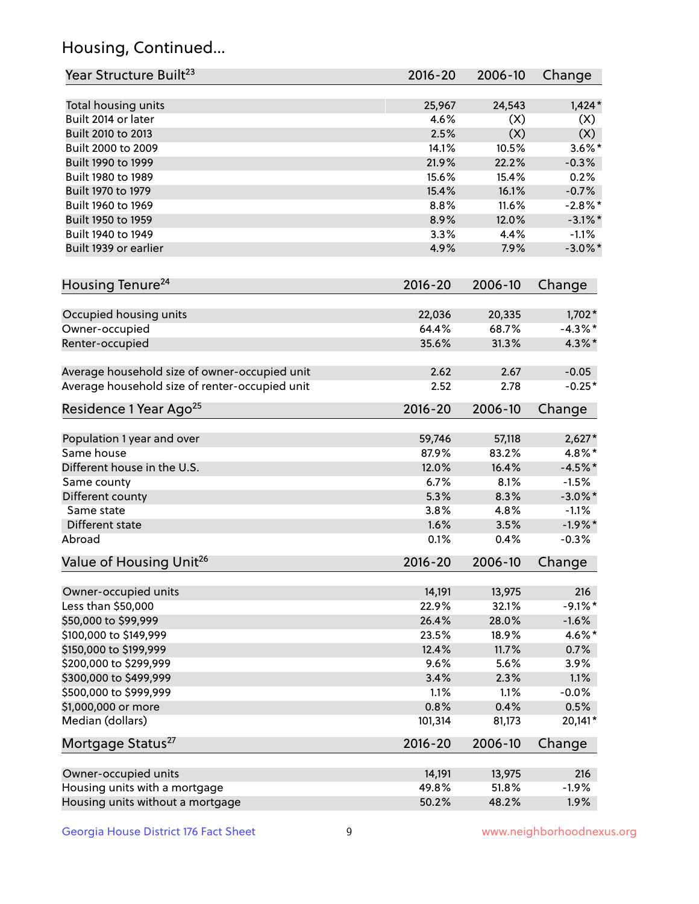## Housing, Continued...

| Year Structure Built <sup>23</sup>             | 2016-20        | 2006-10        | Change       |
|------------------------------------------------|----------------|----------------|--------------|
| Total housing units                            | 25,967         | 24,543         | $1,424*$     |
| Built 2014 or later                            | 4.6%           | (X)            | (X)          |
| Built 2010 to 2013                             | 2.5%           | (X)            | (X)          |
| Built 2000 to 2009                             | 14.1%          | 10.5%          | $3.6\%$ *    |
| Built 1990 to 1999                             | 21.9%          | 22.2%          | $-0.3%$      |
| Built 1980 to 1989                             | 15.6%          | 15.4%          | 0.2%         |
| Built 1970 to 1979                             | 15.4%          | 16.1%          | $-0.7%$      |
| Built 1960 to 1969                             | 8.8%           | 11.6%          | $-2.8\%$ *   |
| Built 1950 to 1959                             | 8.9%           | 12.0%          | $-3.1\%$ *   |
| Built 1940 to 1949                             | 3.3%           | 4.4%           | $-1.1%$      |
| Built 1939 or earlier                          | 4.9%           | 7.9%           | $-3.0\%$ *   |
| Housing Tenure <sup>24</sup>                   | $2016 - 20$    | 2006-10        | Change       |
|                                                |                |                |              |
| Occupied housing units                         | 22,036         | 20,335         | $1,702*$     |
| Owner-occupied                                 | 64.4%          | 68.7%          | $-4.3\%$ *   |
| Renter-occupied                                | 35.6%          | 31.3%          | $4.3\%$ *    |
| Average household size of owner-occupied unit  | 2.62           | 2.67           | $-0.05$      |
| Average household size of renter-occupied unit | 2.52           | 2.78           | $-0.25*$     |
| Residence 1 Year Ago <sup>25</sup>             | $2016 - 20$    | 2006-10        | Change       |
| Population 1 year and over                     | 59,746         | 57,118         | $2,627*$     |
| Same house                                     | 87.9%          | 83.2%          | 4.8%*        |
| Different house in the U.S.                    | 12.0%          | 16.4%          | $-4.5%$ *    |
| Same county                                    | 6.7%           | 8.1%           | $-1.5%$      |
| Different county                               | 5.3%           | 8.3%           | $-3.0\%$ *   |
| Same state                                     | 3.8%           | 4.8%           | $-1.1%$      |
| Different state                                | 1.6%           | 3.5%           | $-1.9%$ *    |
| Abroad                                         | 0.1%           | 0.4%           | $-0.3%$      |
| Value of Housing Unit <sup>26</sup>            | $2016 - 20$    | 2006-10        | Change       |
|                                                |                |                |              |
| Owner-occupied units                           | 14,191         | 13,975         | 216          |
| Less than \$50,000                             | 22.9%          | 32.1%          | $-9.1\%$ *   |
| \$50,000 to \$99,999<br>\$100,000 to \$149,999 | 26.4%          | 28.0%          | $-1.6%$      |
| \$150,000 to \$199,999                         | 23.5%<br>12.4% | 18.9%<br>11.7% | 4.6%*        |
| \$200,000 to \$299,999                         | 9.6%           | 5.6%           | 0.7%         |
| \$300,000 to \$499,999                         | 3.4%           | 2.3%           | 3.9%<br>1.1% |
| \$500,000 to \$999,999                         | 1.1%           | 1.1%           | $-0.0%$      |
| \$1,000,000 or more                            | 0.8%           | 0.4%           | 0.5%         |
| Median (dollars)                               | 101,314        | 81,173         | 20,141*      |
| Mortgage Status <sup>27</sup>                  | $2016 - 20$    | 2006-10        | Change       |
|                                                |                |                |              |
| Owner-occupied units                           | 14,191         | 13,975         | 216          |
| Housing units with a mortgage                  | 49.8%          | 51.8%          | $-1.9%$      |
| Housing units without a mortgage               | 50.2%          | 48.2%          | 1.9%         |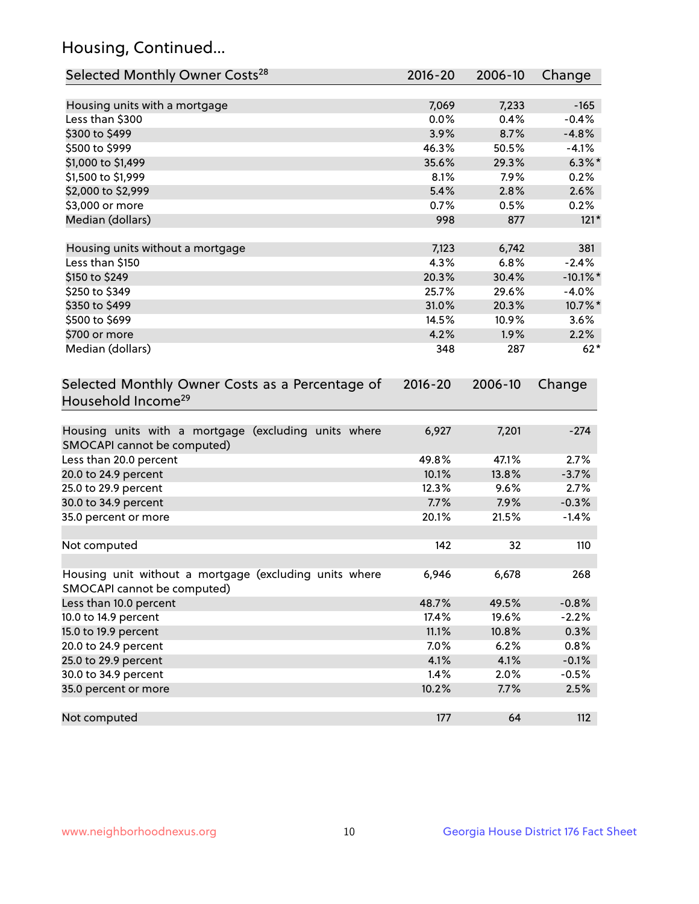## Housing, Continued...

| Selected Monthly Owner Costs <sup>28</sup>                                            | 2016-20     | 2006-10 | Change      |
|---------------------------------------------------------------------------------------|-------------|---------|-------------|
| Housing units with a mortgage                                                         | 7,069       | 7,233   | $-165$      |
| Less than \$300                                                                       | 0.0%        | 0.4%    | $-0.4%$     |
| \$300 to \$499                                                                        | 3.9%        | 8.7%    | $-4.8%$     |
| \$500 to \$999                                                                        | 46.3%       | 50.5%   | $-4.1%$     |
| \$1,000 to \$1,499                                                                    | 35.6%       | 29.3%   | $6.3\%$ *   |
| \$1,500 to \$1,999                                                                    | 8.1%        | 7.9%    | 0.2%        |
| \$2,000 to \$2,999                                                                    | 5.4%        | 2.8%    | 2.6%        |
| \$3,000 or more                                                                       | 0.7%        | 0.5%    | 0.2%        |
| Median (dollars)                                                                      | 998         | 877     | $121*$      |
| Housing units without a mortgage                                                      | 7,123       | 6,742   | 381         |
| Less than \$150                                                                       | 4.3%        | 6.8%    | $-2.4%$     |
| \$150 to \$249                                                                        | 20.3%       | 30.4%   | $-10.1\%$ * |
| \$250 to \$349                                                                        | 25.7%       | 29.6%   | $-4.0%$     |
| \$350 to \$499                                                                        | 31.0%       | 20.3%   | 10.7%*      |
| \$500 to \$699                                                                        | 14.5%       | 10.9%   | 3.6%        |
| \$700 or more                                                                         | 4.2%        | 1.9%    | 2.2%        |
| Median (dollars)                                                                      | 348         | 287     | $62*$       |
| Selected Monthly Owner Costs as a Percentage of<br>Household Income <sup>29</sup>     | $2016 - 20$ | 2006-10 | Change      |
| Housing units with a mortgage (excluding units where<br>SMOCAPI cannot be computed)   | 6,927       | 7,201   | $-274$      |
| Less than 20.0 percent                                                                | 49.8%       | 47.1%   | 2.7%        |
| 20.0 to 24.9 percent                                                                  | 10.1%       | 13.8%   | $-3.7%$     |
| 25.0 to 29.9 percent                                                                  | 12.3%       | 9.6%    | 2.7%        |
| 30.0 to 34.9 percent                                                                  | 7.7%        | 7.9%    | $-0.3%$     |
| 35.0 percent or more                                                                  | 20.1%       | 21.5%   | $-1.4%$     |
| Not computed                                                                          | 142         | 32      | 110         |
| Housing unit without a mortgage (excluding units where<br>SMOCAPI cannot be computed) | 6,946       | 6,678   | 268         |
| Less than 10.0 percent                                                                | 48.7%       | 49.5%   | $-0.8%$     |
| 10.0 to 14.9 percent                                                                  | 17.4%       | 19.6%   | $-2.2%$     |
| 15.0 to 19.9 percent                                                                  | 11.1%       | 10.8%   | 0.3%        |
| 20.0 to 24.9 percent                                                                  | 7.0%        | 6.2%    | 0.8%        |
| 25.0 to 29.9 percent                                                                  | 4.1%        | 4.1%    | $-0.1%$     |
| 30.0 to 34.9 percent                                                                  | 1.4%        | 2.0%    | $-0.5%$     |
| 35.0 percent or more                                                                  | 10.2%       | 7.7%    | 2.5%        |
| Not computed                                                                          | 177         | 64      | 112         |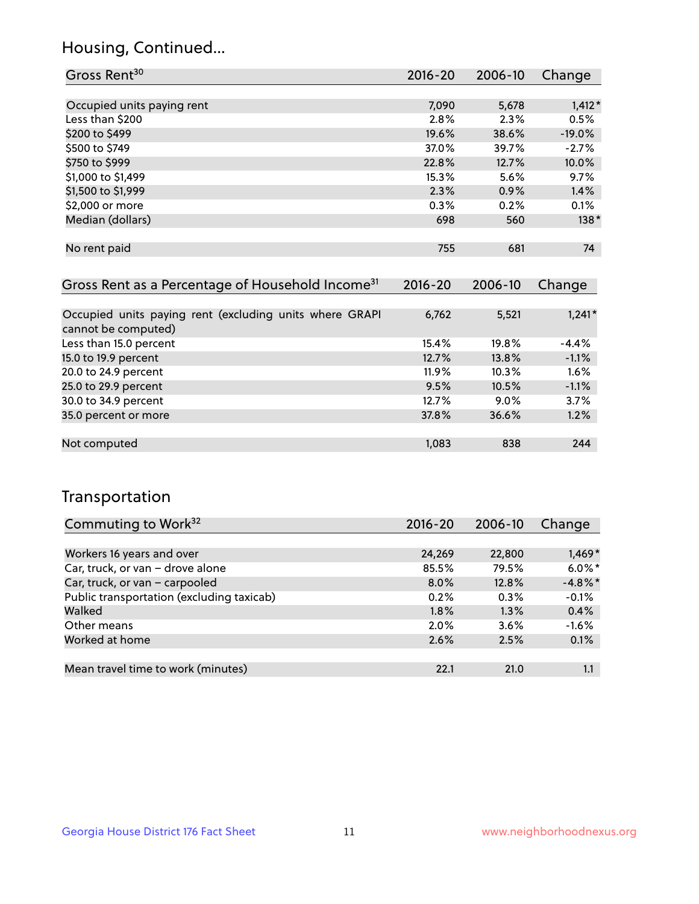## Housing, Continued...

| Gross Rent <sup>30</sup>                                     | 2016-20     | 2006-10 | Change   |
|--------------------------------------------------------------|-------------|---------|----------|
|                                                              |             |         |          |
| Occupied units paying rent                                   | 7,090       | 5,678   | $1,412*$ |
| Less than \$200                                              | 2.8%        | 2.3%    | 0.5%     |
| \$200 to \$499                                               | 19.6%       | 38.6%   | $-19.0%$ |
| \$500 to \$749                                               | 37.0%       | 39.7%   | $-2.7%$  |
| \$750 to \$999                                               | 22.8%       | 12.7%   | 10.0%    |
| \$1,000 to \$1,499                                           | 15.3%       | 5.6%    | 9.7%     |
| \$1,500 to \$1,999                                           | 2.3%        | 0.9%    | 1.4%     |
| \$2,000 or more                                              | 0.3%        | 0.2%    | 0.1%     |
| Median (dollars)                                             | 698         | 560     | $138*$   |
|                                                              |             |         |          |
| No rent paid                                                 | 755         | 681     | 74       |
|                                                              |             |         |          |
| Gross Rent as a Percentage of Household Income <sup>31</sup> | $2016 - 20$ | 2006-10 | Change   |

| Occupied units paying rent (excluding units where GRAPI | 6,762    | 5,521   | $1,241*$ |
|---------------------------------------------------------|----------|---------|----------|
| cannot be computed)                                     |          |         |          |
| Less than 15.0 percent                                  | 15.4%    | 19.8%   | $-4.4%$  |
| 15.0 to 19.9 percent                                    | 12.7%    | 13.8%   | $-1.1%$  |
| 20.0 to 24.9 percent                                    | $11.9\%$ | 10.3%   | 1.6%     |
| 25.0 to 29.9 percent                                    | 9.5%     | 10.5%   | $-1.1%$  |
| 30.0 to 34.9 percent                                    | 12.7%    | $9.0\%$ | 3.7%     |
| 35.0 percent or more                                    | 37.8%    | 36.6%   | 1.2%     |
|                                                         |          |         |          |
| Not computed                                            | 1,083    | 838     | 244      |

## Transportation

| Commuting to Work <sup>32</sup>           | 2016-20 | 2006-10 | Change     |
|-------------------------------------------|---------|---------|------------|
|                                           |         |         |            |
| Workers 16 years and over                 | 24,269  | 22,800  | $1,469*$   |
| Car, truck, or van - drove alone          | 85.5%   | 79.5%   | $6.0\%$ *  |
| Car, truck, or van - carpooled            | $8.0\%$ | 12.8%   | $-4.8\%$ * |
| Public transportation (excluding taxicab) | 0.2%    | 0.3%    | $-0.1%$    |
| Walked                                    | 1.8%    | 1.3%    | 0.4%       |
| Other means                               | $2.0\%$ | $3.6\%$ | $-1.6%$    |
| Worked at home                            | 2.6%    | 2.5%    | 0.1%       |
|                                           |         |         |            |
| Mean travel time to work (minutes)        | 22.1    | 21.0    | 1.1        |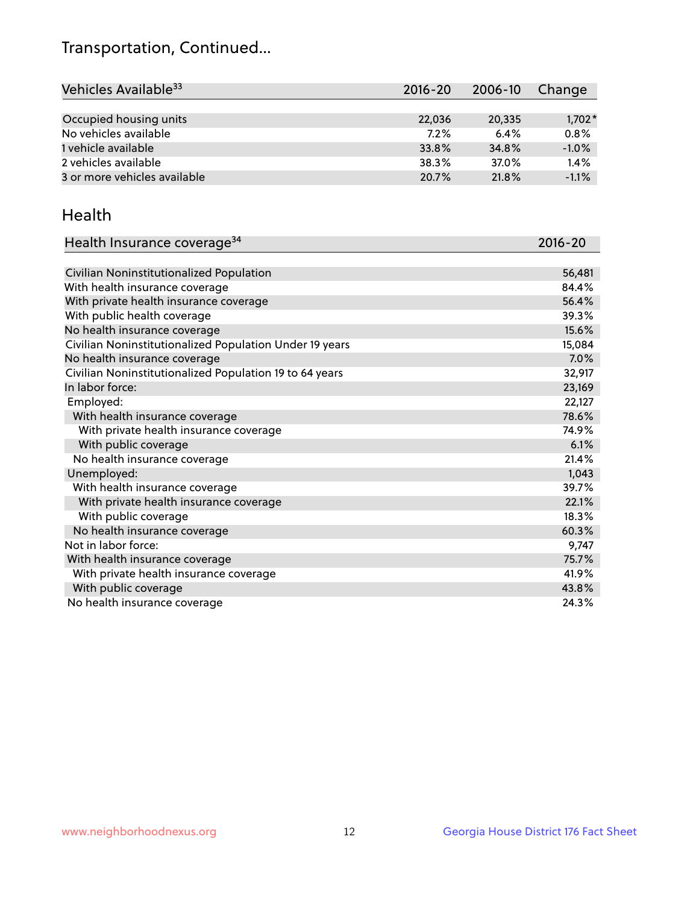## Transportation, Continued...

| Vehicles Available <sup>33</sup> | $2016 - 20$ | 2006-10 | Change   |
|----------------------------------|-------------|---------|----------|
|                                  |             |         |          |
| Occupied housing units           | 22,036      | 20,335  | $1,702*$ |
| No vehicles available            | 7.2%        | 6.4%    | 0.8%     |
| 1 vehicle available              | 33.8%       | 34.8%   | $-1.0%$  |
| 2 vehicles available             | 38.3%       | 37.0%   | 1.4%     |
| 3 or more vehicles available     | 20.7%       | 21.8%   | $-1.1%$  |

#### Health

| Health Insurance coverage <sup>34</sup>                 | 2016-20 |
|---------------------------------------------------------|---------|
|                                                         |         |
| Civilian Noninstitutionalized Population                | 56,481  |
| With health insurance coverage                          | 84.4%   |
| With private health insurance coverage                  | 56.4%   |
| With public health coverage                             | 39.3%   |
| No health insurance coverage                            | 15.6%   |
| Civilian Noninstitutionalized Population Under 19 years | 15,084  |
| No health insurance coverage                            | 7.0%    |
| Civilian Noninstitutionalized Population 19 to 64 years | 32,917  |
| In labor force:                                         | 23,169  |
| Employed:                                               | 22,127  |
| With health insurance coverage                          | 78.6%   |
| With private health insurance coverage                  | 74.9%   |
| With public coverage                                    | 6.1%    |
| No health insurance coverage                            | 21.4%   |
| Unemployed:                                             | 1,043   |
| With health insurance coverage                          | 39.7%   |
| With private health insurance coverage                  | 22.1%   |
| With public coverage                                    | 18.3%   |
| No health insurance coverage                            | 60.3%   |
| Not in labor force:                                     | 9,747   |
| With health insurance coverage                          | 75.7%   |
| With private health insurance coverage                  | 41.9%   |
| With public coverage                                    | 43.8%   |
| No health insurance coverage                            | 24.3%   |